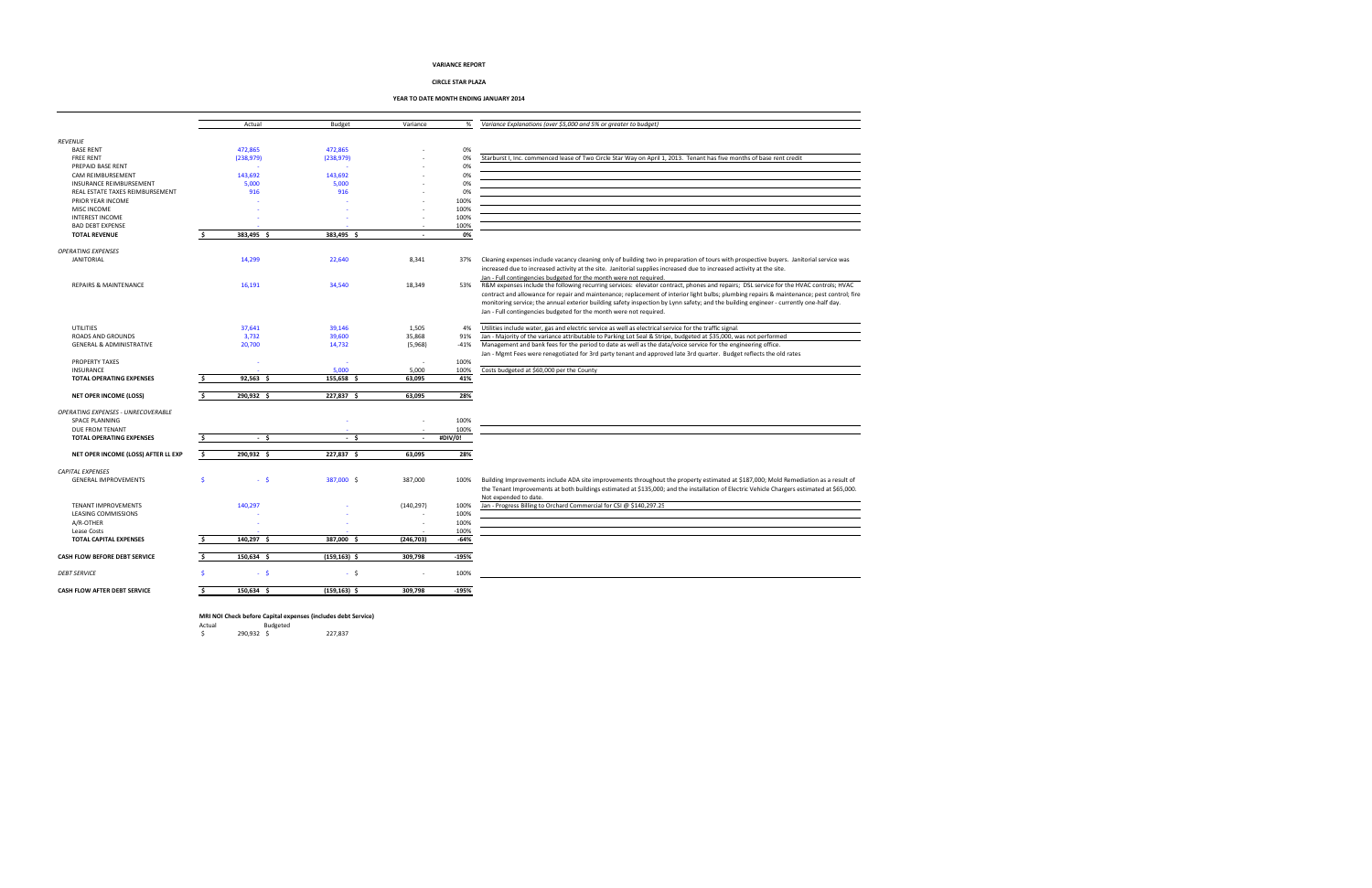|                                     |    | Actual      | Budget          | Variance       | %       | Variance Explanations (over \$5,000 and 5% or greater to budget)                                                                           |
|-------------------------------------|----|-------------|-----------------|----------------|---------|--------------------------------------------------------------------------------------------------------------------------------------------|
|                                     |    |             |                 |                |         |                                                                                                                                            |
| <b>REVENUE</b>                      |    |             |                 |                |         |                                                                                                                                            |
| <b>BASE RENT</b>                    |    | 472,865     | 472,865         |                | 0%      |                                                                                                                                            |
| <b>FREE RENT</b>                    |    | (238, 979)  | (238, 979)      |                | 0%      | Starburst I, Inc. commenced lease of Two Circle Star Way on April 1, 2013. Tenant has five months of base rent credit                      |
| PREPAID BASE RENT                   |    |             |                 |                | 0%      |                                                                                                                                            |
| CAM REIMBURSEMENT                   |    | 143,692     | 143,692         |                | 0%      |                                                                                                                                            |
| <b>INSURANCE REIMBURSEMENT</b>      |    | 5,000       | 5,000           |                | 0%      |                                                                                                                                            |
| REAL ESTATE TAXES REIMBURSEMENT     |    | 916         | 916             |                | 0%      |                                                                                                                                            |
| PRIOR YEAR INCOME                   |    |             |                 |                | 100%    |                                                                                                                                            |
| <b>MISC INCOME</b>                  |    |             |                 |                | 100%    |                                                                                                                                            |
|                                     |    |             |                 |                |         |                                                                                                                                            |
| <b>INTEREST INCOME</b>              |    |             |                 |                | 100%    |                                                                                                                                            |
| <b>BAD DEBT EXPENSE</b>             |    |             |                 |                | 100%    |                                                                                                                                            |
| <b>TOTAL REVENUE</b>                |    | 383,495 \$  | 383,495 \$      | $\sim$         | 0%      |                                                                                                                                            |
|                                     |    |             |                 |                |         |                                                                                                                                            |
| <b>OPERATING EXPENSES</b>           |    |             |                 |                |         |                                                                                                                                            |
| <b>JANITORIAL</b>                   |    | 14,299      | 22,640          | 8,341          | 37%     | Cleaning expenses include vacancy cleaning only of building two in preparation of tours with prospective buyers. Janitorial service was    |
|                                     |    |             |                 |                |         | increased due to increased activity at the site. Janitorial supplies increased due to increased activity at the site.                      |
|                                     |    |             |                 |                |         | Jan - Full contingencies budgeted for the month were not required.                                                                         |
| <b>REPAIRS &amp; MAINTENANCE</b>    |    | 16,191      | 34,540          | 18,349         | 53%     | R&M expenses include the following recurring services: elevator contract, phones and repairs; DSL service for the HVAC controls; HVAC      |
|                                     |    |             |                 |                |         | contract and allowance for repair and maintenance; replacement of interior light bulbs; plumbing repairs & maintenance; pest control; fire |
|                                     |    |             |                 |                |         | monitoring service; the annual exterior building safety inspection by Lynn safety; and the building engineer - currently one-half day.     |
|                                     |    |             |                 |                |         | Jan - Full contingencies budgeted for the month were not required.                                                                         |
|                                     |    |             |                 |                |         |                                                                                                                                            |
| UTILITIES                           |    | 37,641      | 39,146          | 1,505          | 4%      | Utilities include water, gas and electric service as well as electrical service for the traffic signal                                     |
| ROADS AND GROUNDS                   |    | 3,732       | 39,600          | 35,868         | 91%     | Jan - Majority of the variance attributable to Parking Lot Seal & Stripe, budgeted at \$35,000, was not performed                          |
| <b>GENERAL &amp; ADMINISTRATIVE</b> |    |             |                 |                |         |                                                                                                                                            |
|                                     |    | 20,700      | 14,732          | (5,968)        | $-41%$  | Management and bank fees for the period to date as well as the data/voice service for the engineering office.                              |
|                                     |    |             |                 |                |         | Jan - Mgmt Fees were renegotiated for 3rd party tenant and approved late 3rd quarter. Budget reflects the old rates                        |
| <b>PROPERTY TAXES</b>               |    |             |                 |                | 100%    |                                                                                                                                            |
| INSURANCE                           |    |             | 5,000           | 5,000          | 100%    | Costs budgeted at \$60,000 per the County                                                                                                  |
| <b>TOTAL OPERATING EXPENSES</b>     |    | $92,563$ \$ | $155,658$ \$    | 63,095         | 41%     |                                                                                                                                            |
|                                     |    |             |                 |                |         |                                                                                                                                            |
| NET OPER INCOME (LOSS)              | Š. | 290,932 \$  | 227,837 \$      | 63,095         | 28%     |                                                                                                                                            |
|                                     |    |             |                 |                |         |                                                                                                                                            |
| OPERATING EXPENSES - UNRECOVERABLE  |    |             |                 |                |         |                                                                                                                                            |
| <b>SPACE PLANNING</b>               |    |             |                 |                | 100%    |                                                                                                                                            |
| DUE FROM TENANT                     |    |             |                 |                | 100%    |                                                                                                                                            |
| <b>TOTAL OPERATING EXPENSES</b>     |    | $-5$        | $-5$            | $\overline{a}$ | #DIV/0! |                                                                                                                                            |
|                                     |    |             |                 |                |         |                                                                                                                                            |
| NET OPER INCOME (LOSS) AFTER LL EXP | s. | 290,932 \$  | 227,837 \$      | 63,095         | 28%     |                                                                                                                                            |
|                                     |    |             |                 |                |         |                                                                                                                                            |
| <b>CAPITAL EXPENSES</b>             |    |             |                 |                |         |                                                                                                                                            |
| <b>GENERAL IMPROVEMENTS</b>         |    | $-5$        | 387,000 \$      | 387,000        | 100%    | Building Improvements include ADA site improvements throughout the property estimated at \$187,000; Mold Remediation as a result of        |
|                                     |    |             |                 |                |         | the Tenant Improvements at both buildings estimated at \$135,000; and the installation of Electric Vehicle Chargers estimated at \$65,000. |
|                                     |    |             |                 |                |         | Not expended to date.                                                                                                                      |
| <b>TENANT IMPROVEMENTS</b>          |    | 140,297     |                 | (140, 297)     | 100%    | Jan - Progress Billing to Orchard Commercial for CSI @ \$140,297.25                                                                        |
|                                     |    |             |                 |                | 100%    |                                                                                                                                            |
| LEASING COMMISSIONS                 |    |             |                 |                |         |                                                                                                                                            |
| A/R-OTHER                           |    |             |                 |                | 100%    |                                                                                                                                            |
| Lease Costs                         |    |             |                 |                | 100%    |                                                                                                                                            |
| <b>TOTAL CAPITAL EXPENSES</b>       |    | 140.297 \$  | 387,000 \$      | (246, 703)     | $-64%$  |                                                                                                                                            |
|                                     |    |             |                 |                |         |                                                                                                                                            |
| CASH FLOW BEFORE DEBT SERVICE       |    | 150,634 \$  | $(159, 163)$ \$ | 309,798        | $-195%$ |                                                                                                                                            |
|                                     |    |             |                 |                |         |                                                                                                                                            |
| <b>DEBT SERVICE</b>                 |    | $-5$        | - \$            |                | 100%    |                                                                                                                                            |
|                                     |    |             |                 |                |         |                                                                                                                                            |
| CASH FLOW AFTER DEBT SERVICE        |    | 150,634 \$  | $(159, 163)$ \$ | 309,798        | $-195%$ |                                                                                                                                            |

# MRI NOI Check before Capital expenses (includes debt Service)

Actual Budgeted \$ 290,932 \$ 227,837

# VARIANCE REPORT

# CIRCLE STAR PLAZA

YEAR TO DATE MONTH ENDING JANUARY 2014